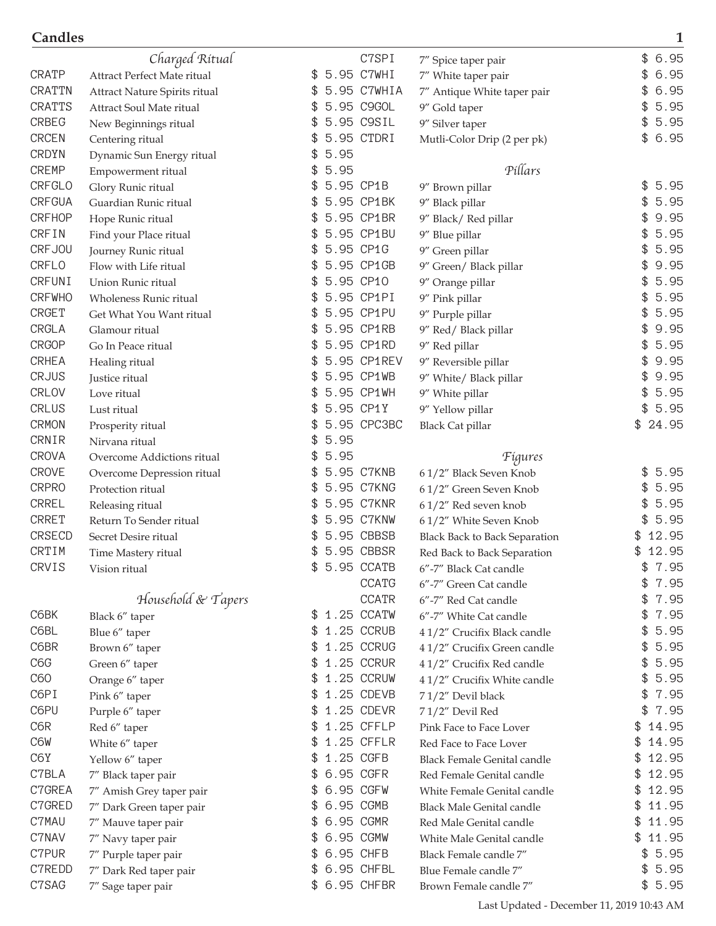|               | Charged Ritual                |            | C7SPI         | 7" Spice taper pair                     | \$<br>6.95  |
|---------------|-------------------------------|------------|---------------|-----------------------------------------|-------------|
| <b>CRATP</b>  | Attract Perfect Mate ritual   | \$         | 5.95 C7WHI    | 7" White taper pair                     | 6.95<br>\$  |
| <b>CRATTN</b> | Attract Nature Spirits ritual | \$         | 5.95 C7WHIA   | 7" Antique White taper pair             | 6.95        |
| <b>CRATTS</b> | Attract Soul Mate ritual      | £.         | 5.95 C9GOL    | 9" Gold taper                           | 5.95<br>\$  |
| <b>CRBEG</b>  | New Beginnings ritual         | \$         | 5.95 C9SIL    | 9" Silver taper                         | 5.95<br>\$  |
| <b>CRCEN</b>  | Centering ritual              |            | 5.95 CTDRI    | Mutli-Color Drip (2 per pk)             | 6.95<br>\$  |
| <b>CRDYN</b>  | Dynamic Sun Energy ritual     | 5.95       |               |                                         |             |
| <b>CREMP</b>  | Empowerment ritual            | 5.95<br>\$ |               | Pillars                                 |             |
| <b>CRFGLO</b> | Glory Runic ritual            | \$         | 5.95 CP1B     | 9" Brown pillar                         | 5.95<br>\$  |
| <b>CRFGUA</b> | Guardian Runic ritual         |            | 5.95 CP1BK    |                                         | \$<br>5.95  |
| <b>CRFHOP</b> | Hope Runic ritual             | \$         | 5.95 CP1BR    | 9" Black pillar<br>9" Black/ Red pillar | \$<br>9.95  |
| CRFIN         | Find your Place ritual        |            | 5.95 CP1BU    | 9" Blue pillar                          | 5.95<br>\$  |
| CRFJ0U        |                               |            | 5.95 CP1G     | 9" Green pillar                         | 5.95        |
| <b>CRFLO</b>  | Journey Runic ritual          |            | 5.95 CP1GB    |                                         | 9.95        |
| <b>CRFUNI</b> | Flow with Life ritual         | \$         | 5.95 CP10     | 9" Green/ Black pillar                  | 5.95<br>\$  |
| <b>CRFWHO</b> | Union Runic ritual            |            | 5.95 CP1PI    | 9" Orange pillar                        | 5.95<br>\$  |
|               | Wholeness Runic ritual        | \$         | 5.95 CP1PU    | 9" Pink pillar                          | 5.95        |
| <b>CRGET</b>  | Get What You Want ritual      | \$         |               | 9" Purple pillar                        | \$          |
| CRGLA         | Glamour ritual                | \$         | 5.95 CP1RB    | 9" Red/ Black pillar                    | 9.95        |
| <b>CRGOP</b>  | Go In Peace ritual            | \$         | 5.95 CP1RD    | 9" Red pillar                           | 5.95<br>\$  |
| <b>CRHEA</b>  | Healing ritual                |            | 5.95 CP1REV   | 9" Reversible pillar                    | 9.95        |
| <b>CRJUS</b>  | Justice ritual                |            | 5.95 CP1WB    | 9" White/ Black pillar                  | 9.95        |
| <b>CRLOV</b>  | Love ritual                   |            | 5.95 CP1WH    | 9" White pillar                         | 5.95        |
| <b>CRLUS</b>  | Lust ritual                   | \$         | 5.95 CP1Y     | 9" Yellow pillar                        | \$<br>5.95  |
| <b>CRMON</b>  | Prosperity ritual             |            | 5.95 CPC3BC   | <b>Black Cat pillar</b>                 | \$<br>24.95 |
| CRNIR         | Nirvana ritual                | 5.95<br>\$ |               |                                         |             |
| <b>CROVA</b>  | Overcome Addictions ritual    | 5.95<br>\$ |               | Figures                                 |             |
| <b>CROVE</b>  | Overcome Depression ritual    |            | 5.95 C7KNB    | 61/2" Black Seven Knob                  | \$<br>5.95  |
| <b>CRPRO</b>  | Protection ritual             |            | 5.95 C7KNG    | 61/2" Green Seven Knob                  | 5.95        |
| <b>CRREL</b>  | Releasing ritual              |            | 5.95 C7KNR    | 61/2" Red seven knob                    | 5.95        |
| <b>CRRET</b>  | Return To Sender ritual       | \$         | 5.95 C7KNW    | 61/2" White Seven Knob                  | 5.95<br>\$  |
| <b>CRSECD</b> | Secret Desire ritual          | \$         | 5.95 CBBSB    | <b>Black Back to Back Separation</b>    | 12.95<br>\$ |
| CRTIM         | Time Mastery ritual           |            | 5.95 CBBSR    | Red Back to Back Separation             | 12.95       |
| <b>CRVIS</b>  | Vision ritual                 | \$         | 5.95 CCATB    | 6″-7″ Black Cat candle                  | \$<br>7.95  |
|               |                               |            | <b>CCATG</b>  | 6"-7" Green Cat candle                  | \$<br>7.95  |
|               | Household $\&$ Tapers         |            | <b>CCATR</b>  | 6"-7" Red Cat candle                    | 7.95<br>\$  |
| C6BK          | Black 6" taper                | \$         | 1.25 CCATW    | 6"-7" White Cat candle                  | 7.95<br>\$  |
| C6BL          | Blue 6" taper                 | \$         | 1.25 CCRUB    | 41/2" Crucifix Black candle             | 5.95        |
| C6BR          | Brown 6" taper                | \$.        | 1.25 CCRUG    | 41/2" Crucifix Green candle             | 5.95<br>\$  |
| C6G           | Green 6" taper                |            | 1.25 CCRUR    | 41/2" Crucifix Red candle               | 5.95<br>\$  |
| C60           | Orange 6" taper               |            | 1.25 CCRUW    | 4 1/2" Crucifix White candle            | 5.95        |
| C6PI          | Pink 6" taper                 |            | 1.25 CDEVB    | 71/2" Devil black                       | 7.95        |
| C6PU          | Purple 6" taper               | S          | 1.25 CDEVR    | 71/2" Devil Red                         | 7.95<br>\$  |
| C6R           | Red 6" taper                  | \$         | 1.25 CFFLP    | Pink Face to Face Lover                 | 14.95<br>\$ |
| C6W           | White 6" taper                |            | 1.25 CFFLR    | Red Face to Face Lover                  | 14.95<br>\$ |
| C6Y           | Yellow 6" taper               | \$.        | 1.25 CGFB     | <b>Black Female Genital candle</b>      | 12.95<br>\$ |
| C7BLA         | 7" Black taper pair           |            | 6.95 CGFR     | Red Female Genital candle               | 12.95<br>\$ |
| C7GREA        | 7" Amish Grey taper pair      |            | 6.95 CGFW     | White Female Genital candle             | 12.95<br>\$ |
| C7GRED        | 7" Dark Green taper pair      |            | 6.95 CGMB     | <b>Black Male Genital candle</b>        | 11.95<br>\$ |
| C7MAU         | 7" Mauve taper pair           | P.         | 6.95 CGMR     | Red Male Genital candle                 | 11.95<br>\$ |
| C7NAV         | 7" Navy taper pair            | \$         | 6.95 CGMW     | White Male Genital candle               | 11.95<br>\$ |
| C7PUR         | 7" Purple taper pair          | P.         | 6.95 CHFB     | Black Female candle 7"                  | 5.95<br>\$  |
| C7REDD        | 7" Dark Red taper pair        |            | 6.95 CHFBL    | Blue Female candle 7"                   | 5.95<br>\$  |
| C7SAG         | 7" Sage taper pair            |            | \$ 6.95 CHFBR | Brown Female candle 7"                  | \$5.95      |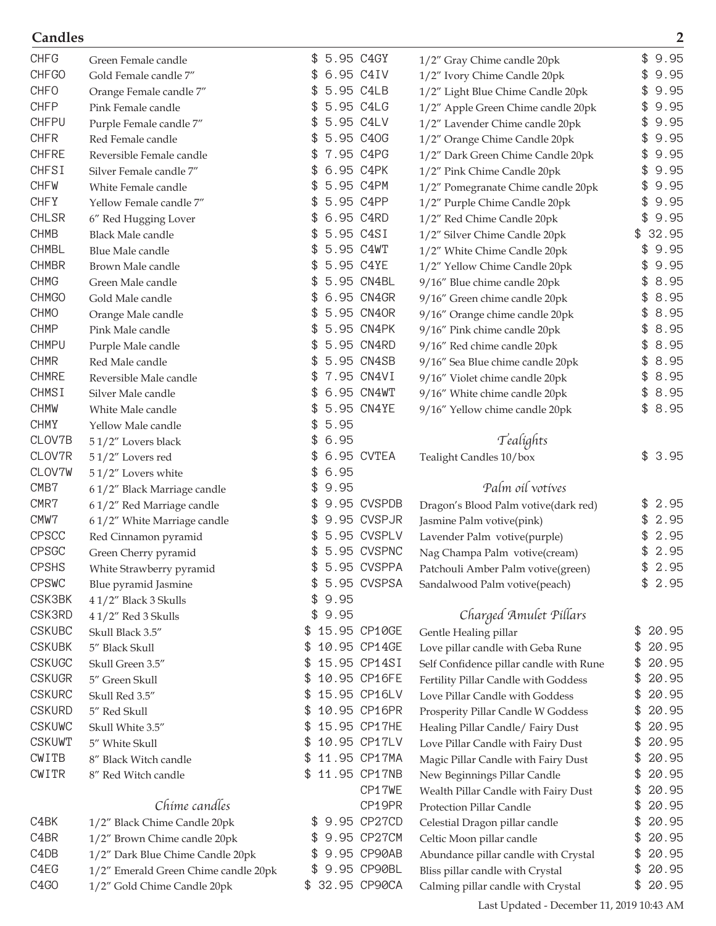| <b>CHFG</b>                   | Green Female candle                  | 5.95 C4GY<br>\$.   | 1/2" Gray Chime candle 20pk             | \$<br>9.95  |
|-------------------------------|--------------------------------------|--------------------|-----------------------------------------|-------------|
| <b>CHFGO</b>                  | Gold Female candle 7"                | 6.95 C4IV          | 1/2" Ivory Chime Candle 20pk            | 9.95        |
| <b>CHFO</b>                   | Orange Female candle 7"              | 5.95 C4LB          | 1/2" Light Blue Chime Candle 20pk       | 9.95<br>\$  |
| <b>CHFP</b>                   | Pink Female candle                   | 5.95 C4LG<br>£.    | 1/2" Apple Green Chime candle 20pk      | 9.95        |
| <b>CHFPU</b>                  | Purple Female candle 7"              | 5.95 C4LV<br>£.    | 1/2" Lavender Chime candle 20pk         | 9.95<br>\$  |
| <b>CHFR</b>                   | Red Female candle                    | 5.95 C40G          | 1/2" Orange Chime Candle 20pk           | 9.95        |
| <b>CHFRE</b>                  | Reversible Female candle             | 7.95 C4PG          | 1/2" Dark Green Chime Candle 20pk       | 9.95        |
| <b>CHFSI</b>                  | Silver Female candle 7"              | 6.95 C4PK          | 1/2" Pink Chime Candle 20pk             | 9.95        |
| <b>CHFW</b>                   | White Female candle                  | 5.95 C4PM<br>\$.   | 1/2" Pomegranate Chime candle 20pk      | 9.95        |
| <b>CHFY</b>                   | Yellow Female candle 7"              | 5.95 C4PP          | 1/2" Purple Chime Candle 20pk           | 9.95        |
| <b>CHLSR</b>                  | 6" Red Hugging Lover                 | 6.95 C4RD<br>£.    | 1/2" Red Chime Candle 20pk              | 9.95        |
| <b>CHMB</b>                   | <b>Black Male candle</b>             | 5.95 C4SI          | 1/2" Silver Chime Candle 20pk           | 32.95<br>\$ |
| <b>CHMBL</b>                  | Blue Male candle                     | 5.95 C4WT          | 1/2" White Chime Candle 20pk            | 9.95        |
| <b>CHMBR</b>                  | Brown Male candle                    | 5.95 C4YE          | 1/2" Yellow Chime Candle 20pk           | 9.95        |
| <b>CHMG</b>                   | Green Male candle                    | 5.95 CN4BL         | 9/16" Blue chime candle 20pk            | 8.95        |
| <b>CHMGO</b>                  | Gold Male candle                     | 6.95 CN4GR         | 9/16" Green chime candle 20pk           | 8.95        |
| <b>CHMO</b>                   | Orange Male candle                   | 5.95 CN40R         | 9/16" Orange chime candle 20pk          | 8.95        |
| <b>CHMP</b>                   | Pink Male candle                     | 5.95 CN4PK         | 9/16" Pink chime candle 20pk            | 8.95<br>\$  |
| <b>CHMPU</b>                  | Purple Male candle                   | 5.95 CN4RD         | 9/16" Red chime candle 20pk             | 8.95        |
| <b>CHMR</b>                   | Red Male candle                      | 5.95 CN4SB         | 9/16" Sea Blue chime candle 20pk        | 8.95        |
| <b>CHMRE</b>                  | Reversible Male candle               | 7.95 CN4VI         | 9/16" Violet chime candle 20pk          | 8.95        |
| <b>CHMSI</b>                  | Silver Male candle                   | 6.95 CN4WT         | 9/16" White chime candle 20pk           | 8.95        |
| <b>CHMW</b>                   | White Male candle                    | 5.95 CN4YE         | 9/16" Yellow chime candle 20pk          | 8.95        |
| <b>CHMY</b>                   | Yellow Male candle                   | 5.95<br>\$.        |                                         |             |
| CLOV7B                        |                                      | 6.95<br>\$         | Tealights                               |             |
| CLOV7R                        | 51/2" Lovers black                   | 6.95 CVTEA         |                                         | \$<br>3.95  |
| CLOV7W                        | 51/2" Lovers red                     | 6.95               | Tealight Candles 10/box                 |             |
| CMB7                          | 51/2" Lovers white                   | 9.95               | Palm oil votives                        |             |
| CMR7                          | 61/2" Black Marriage candle          | 9.95 CVSPDB        |                                         | 2.95        |
| CMW7                          | 61/2" Red Marriage candle            | 9.95 CVSPJR        | Dragon's Blood Palm votive(dark red)    | 2.95        |
| <b>CPSCC</b>                  | 61/2" White Marriage candle          | 5.95 CVSPLV        | Jasmine Palm votive(pink)               | 2.95        |
| <b>CPSGC</b>                  | Red Cinnamon pyramid                 | 5.95 CVSPNC        | Lavender Palm votive(purple)            | 2.95        |
|                               | Green Cherry pyramid                 |                    | Nag Champa Palm votive(cream)           |             |
| <b>CPSHS</b>                  | White Strawberry pyramid             | \$<br>5.95 CVSPPA  | Patchouli Amber Palm votive(green)      | \$<br>2.95  |
| <b>CPSWC</b>                  | Blue pyramid Jasmine                 | 5.95 CVSPSA        | Sandalwood Palm votive(peach)           | \$<br>2.95  |
| CSK3BK                        | 41/2" Black 3 Skulls                 | 9.95               |                                         |             |
| CSK3RD                        | 41/2" Red 3 Skulls                   | 9.95<br>\$         | Charged Amulet Pillars                  |             |
| <b>CSKUBC</b>                 | Skull Black 3.5"                     | 15.95 CP10GE<br>\$ | Gentle Healing pillar                   | 20.95<br>£. |
| <b>CSKUBK</b>                 | 5" Black Skull                       | 10.95 CP14GE<br>\$ | Love pillar candle with Geba Rune       | 20.95<br>\$ |
| <b>CSKUGC</b>                 | Skull Green 3.5"                     | 15.95 CP14SI<br>\$ | Self Confidence pillar candle with Rune | 20.95<br>\$ |
| <b>CSKUGR</b>                 | 5" Green Skull                       | 10.95 CP16FE       | Fertility Pillar Candle with Goddess    | 20.95<br>\$ |
| <b>CSKURC</b>                 | Skull Red 3.5"                       | 15.95 CP16LV       | Love Pillar Candle with Goddess         | 20.95<br>\$ |
| <b>CSKURD</b>                 | 5" Red Skull                         | 10.95 CP16PR<br>\$ | Prosperity Pillar Candle W Goddess      | 20.95<br>\$ |
| <b>CSKUWC</b>                 | Skull White 3.5"                     | 15.95 CP17HE<br>\$ | Healing Pillar Candle/ Fairy Dust       | 20.95<br>\$ |
| <b>CSKUWT</b>                 | 5" White Skull                       | 10.95 CP17LV<br>\$ | Love Pillar Candle with Fairy Dust      | \$<br>20.95 |
| CWITB                         | 8" Black Witch candle                | 11.95 CP17MA<br>\$ | Magic Pillar Candle with Fairy Dust     | \$<br>20.95 |
| CWITR                         | 8" Red Witch candle                  | 11.95 CP17NB<br>\$ | New Beginnings Pillar Candle            | \$<br>20.95 |
|                               |                                      | CP17WE             | Wealth Pillar Candle with Fairy Dust    | 20.95<br>\$ |
|                               | Chime candles                        | CP19PR             | Protection Pillar Candle                | 20.95<br>\$ |
| C <sub>4</sub> BK             | 1/2" Black Chime Candle 20pk         | 9.95 CP27CD        | Celestial Dragon pillar candle          | 20.95<br>\$ |
| C <sub>4</sub> BR             | 1/2" Brown Chime candle 20pk         | 9.95 CP27CM<br>SS. | Celtic Moon pillar candle               | 20.95<br>\$ |
| C <sub>4</sub> D <sub>B</sub> | 1/2" Dark Blue Chime Candle 20pk     | 9.95 CP90AB<br>\$  | Abundance pillar candle with Crystal    | 20.95<br>\$ |
| C4EG                          | 1/2" Emerald Green Chime candle 20pk | 9.95 CP90BL<br>\$  | Bliss pillar candle with Crystal        | 20.95<br>\$ |
| C4GO                          | 1/2" Gold Chime Candle 20pk          | \$ 32.95 CP90CA    | Calming pillar candle with Crystal      | \$<br>20.95 |

Last Updated - December 11, 2019 10:43 AM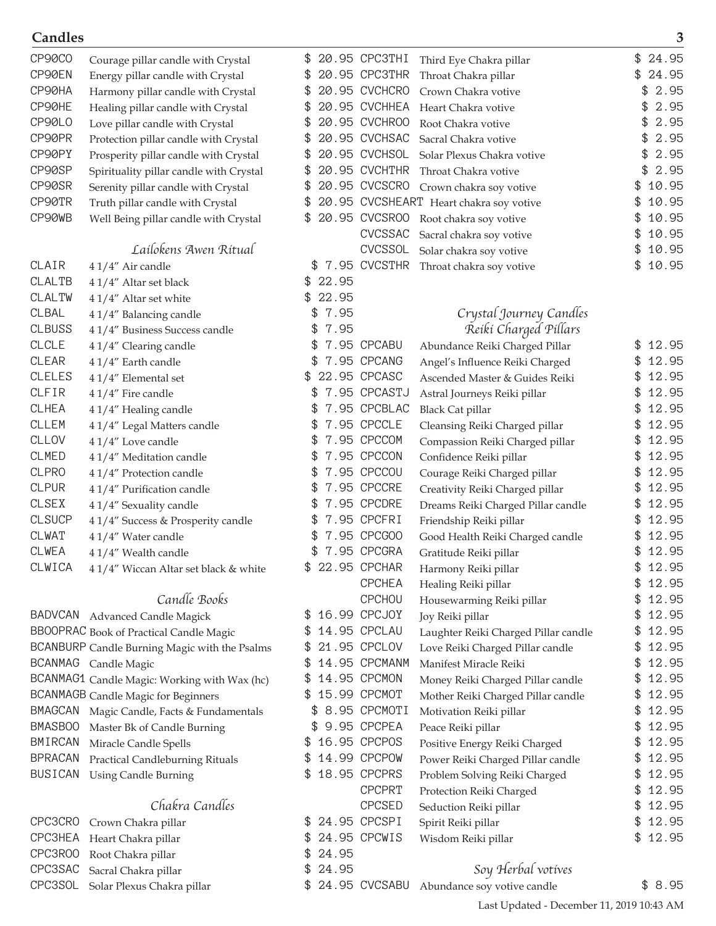| CP90C0         | Courage pillar candle with Crystal            | \$  |            | 20.95 CPC3THI   | Third Eye Chakra pillar                 | \$  | 24.95   |
|----------------|-----------------------------------------------|-----|------------|-----------------|-----------------------------------------|-----|---------|
| CP90EN         | Energy pillar candle with Crystal             | \$  |            | 20.95 CPC3THR   | Throat Chakra pillar                    | \$  | 24.95   |
| CP90HA         | Harmony pillar candle with Crystal            | \$  |            | 20.95 CVCHCRO   | Crown Chakra votive                     |     | 2.95    |
| CP90HE         | Healing pillar candle with Crystal            |     |            | 20.95 CVCHHEA   | Heart Chakra votive                     |     | 2.95    |
| CP90L0         | Love pillar candle with Crystal               |     |            | 20.95 CVCHROO   | Root Chakra votive                      |     | 2.95    |
| CP90PR         | Protection pillar candle with Crystal         |     |            | 20.95 CVCHSAC   | Sacral Chakra votive                    |     | 2.95    |
| CP90PY         | Prosperity pillar candle with Crystal         | \$  |            | 20.95 CVCHSOL   | Solar Plexus Chakra votive              |     | 2.95    |
| CP90SP         | Spirituality pillar candle with Crystal       |     |            | 20.95 CVCHTHR   | Throat Chakra votive                    |     | 2.95    |
| CP90SR         | Serenity pillar candle with Crystal           | \$  |            | 20.95 CVCSCRO   | Crown chakra soy votive                 | \$  | 10.95   |
| CP90TR         | Truth pillar candle with Crystal              | \$  |            |                 | 20.95 CVCSHEART Heart chakra soy votive |     | 10.95   |
| CP90WB         | Well Being pillar candle with Crystal         | \$  |            | 20.95 CVCSR00   | Root chakra soy votive                  |     | 10.95   |
|                |                                               |     |            | CVCSSAC         | Sacral chakra soy votive                |     | 10.95   |
|                | Lailokens Awen Ritual                         |     |            |                 | CVCSSOL Solar chakra soy votive         | \$  | 10.95   |
| CLAIR          | 41/4" Air candle                              |     |            |                 | \$7.95 CVCSTHR Throat chakra soy votive | \$  | 10.95   |
| <b>CLALTB</b>  | 41/4" Altar set black                         | \$. | 22.95      |                 |                                         |     |         |
| <b>CLALTW</b>  | 41/4" Altar set white                         |     | 22.95      |                 |                                         |     |         |
| CLBAL          | 41/4" Balancing candle                        |     | 7.95<br>\$ |                 | Crystal Journey Candles                 |     |         |
| <b>CLBUSS</b>  | 41/4" Business Success candle                 |     | 7.95<br>\$ |                 | Reiki Charged Pillars                   |     |         |
| <b>CLCLE</b>   | 41/4" Clearing candle                         |     |            | 7.95 CPCABU     | Abundance Reiki Charged Pillar          |     | 12.95   |
| CLEAR          | 41/4" Earth candle                            |     |            | 7.95 CPCANG     | Angel's Influence Reiki Charged         | £.  | 12.95   |
| CLELES         | 41/4" Elemental set                           |     |            | 22.95 CPCASC    | Ascended Master & Guides Reiki          | \$  | 12.95   |
| CLFIR          | 41/4" Fire candle                             |     |            | 7.95 CPCASTJ    | Astral Journeys Reiki pillar            |     | 12.95   |
| CLHEA          | 41/4" Healing candle                          |     |            | 7.95 CPCBLAC    | <b>Black Cat pillar</b>                 |     | 12.95   |
| CLLEM          | 41/4" Legal Matters candle                    |     | S          | 7.95 CPCCLE     | Cleansing Reiki Charged pillar          | \$  | 12.95   |
| CLLOV          | 41/4" Love candle                             |     | \$         | 7.95 CPCCOM     | Compassion Reiki Charged pillar         | \$  | 12.95   |
| <b>CLMED</b>   | 41/4" Meditation candle                       |     | \$         | 7.95 CPCCON     | Confidence Reiki pillar                 |     | 12.95   |
| <b>CLPRO</b>   | 41/4" Protection candle                       |     |            | 7.95 CPCCOU     | Courage Reiki Charged pillar            |     | 12.95   |
| <b>CLPUR</b>   | 41/4" Purification candle                     |     |            | 7.95 CPCCRE     | Creativity Reiki Charged pillar         | \$  | 12.95   |
| CLSEX          | 41/4" Sexuality candle                        |     |            | 7.95 CPCDRE     | Dreams Reiki Charged Pillar candle      |     | 12.95   |
| <b>CLSUCP</b>  | 41/4" Success & Prosperity candle             |     |            | 7.95 CPCFRI     | Friendship Reiki pillar                 |     | 12.95   |
| CLWAT          | 41/4" Water candle                            |     |            | 7.95 CPCG00     | Good Health Reiki Charged candle        |     | 12.95   |
| <b>CLWEA</b>   | 41/4" Wealth candle                           |     |            | 7.95 CPCGRA     | Gratitude Reiki pillar                  | \$  | 12.95   |
| CLWICA         | 41/4" Wiccan Altar set black & white          | \$  |            | 22.95 CPCHAR    | Harmony Reiki pillar                    | \$  | 12.95   |
|                |                                               |     |            | <b>CPCHEA</b>   | Healing Reiki pillar                    |     | 12.95   |
|                | Candle Books                                  |     |            | <b>CPCHOU</b>   | Housewarming Reiki pillar               | £.  | 12.95   |
|                | BADVCAN Advanced Candle Magick                | \$  |            | 16.99 CPCJ0Y    | Joy Reiki pillar                        | \$  | 12.95   |
|                | BBOOPRAC Book of Practical Candle Magic       | \$  |            | 14.95 CPCLAU    | Laughter Reiki Charged Pillar candle    | \$  | 12.95   |
|                | BCANBURP Candle Burning Magic with the Psalms |     |            | 21.95 CPCLOV    | Love Reiki Charged Pillar candle        |     | 12.95   |
|                | BCANMAG Candle Magic                          | \$  |            | 14.95 CPCMANM   | Manifest Miracle Reiki                  | \$  | 12.95   |
|                | BCANMAG1 Candle Magic: Working with Wax (hc)  | \$  |            | 14.95 CPCMON    | Money Reiki Charged Pillar candle       | \$  | 12.95   |
|                | <b>BCANMAGB</b> Candle Magic for Beginners    | \$. |            | 15.99 CPCMOT    | Mother Reiki Charged Pillar candle      |     | 12.95   |
|                | BMAGCAN Magic Candle, Facts & Fundamentals    |     |            | \$ 8.95 CPCMOTI | Motivation Reiki pillar                 |     | 12.95   |
| <b>BMASBOO</b> | Master Bk of Candle Burning                   |     | \$         | 9.95 CPCPEA     | Peace Reiki pillar                      | \$  | 12.95   |
| BMIRCAN        | Miracle Candle Spells                         | \$. |            | 16.95 CPCPOS    | Positive Energy Reiki Charged           | \$  | 12.95   |
| <b>BPRACAN</b> | <b>Practical Candleburning Rituals</b>        | \$  |            | 14.99 CPCPOW    | Power Reiki Charged Pillar candle       | \$  | 12.95   |
| BUSICAN        | <b>Using Candle Burning</b>                   |     |            | 18.95 CPCPRS    | Problem Solving Reiki Charged           |     | 12.95   |
|                |                                               |     |            | <b>CPCPRT</b>   | Protection Reiki Charged                | £.  | 12.95   |
|                | Chakra Candles                                |     |            | <b>CPCSED</b>   | Seduction Reiki pillar                  | \$  | 12.95   |
| CPC3CRO        | Crown Chakra pillar                           | \$  |            | 24.95 CPCSPI    | Spirit Reiki pillar                     |     | \$12.95 |
| <b>CPC3HEA</b> | Heart Chakra pillar                           |     |            | 24.95 CPCWIS    | Wisdom Reiki pillar                     | \$. | 12.95   |
| CPC3R00        | Root Chakra pillar                            | \$  | 24.95      |                 |                                         |     |         |
| CPC3SAC        | Sacral Chakra pillar                          | \$  | 24.95      |                 | Soy Herbal votives                      |     |         |
| CPC3SOL        | Solar Plexus Chakra pillar                    |     |            | 24.95 CVCSABU   | Abundance soy votive candle             |     | \$8.95  |
|                |                                               |     |            |                 |                                         |     |         |

Last Updated - December 11, 2019 10:43 AM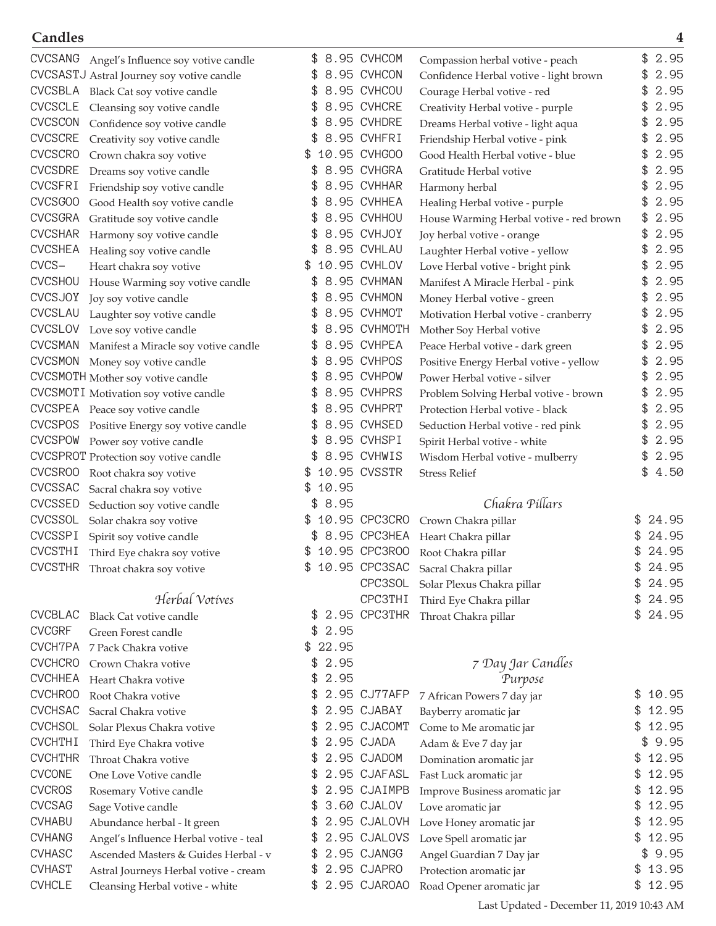|                                | CVCSANG Angel's Influence soy votive candle  |     |       | 8.95 CVHCOM                 | Compassion herbal votive - peach        | \$  | 2.95           |
|--------------------------------|----------------------------------------------|-----|-------|-----------------------------|-----------------------------------------|-----|----------------|
|                                | CVCSASTJ Astral Journey soy votive candle    | 3   |       | 8.95 CVHCON                 | Confidence Herbal votive - light brown  | \$  | 2.95           |
| CVCSBLA                        | Black Cat soy votive candle                  | \$  |       | 8.95 CVHCOU                 | Courage Herbal votive - red             | \$  | 2.95           |
| <b>CVCSCLE</b>                 | Cleansing soy votive candle                  | \$  |       | 8.95 CVHCRE                 | Creativity Herbal votive - purple       | \$  | 2.95           |
| CVCSCON                        | Confidence soy votive candle                 |     |       | 8.95 CVHDRE                 | Dreams Herbal votive - light aqua       |     | 2.95           |
| <b>CVCSCRE</b>                 | Creativity soy votive candle                 |     |       | 8.95 CVHFRI                 | Friendship Herbal votive - pink         |     | 2.95           |
| <b>CVCSCRO</b>                 | Crown chakra soy votive                      |     |       | 10.95 CVHGOO                | Good Health Herbal votive - blue        |     | 2.95           |
| <b>CVCSDRE</b>                 | Dreams soy votive candle                     |     |       | 8.95 CVHGRA                 | Gratitude Herbal votive                 |     | 2.95           |
| <b>CVCSFRI</b>                 | Friendship soy votive candle                 |     |       | 8.95 CVHHAR                 | Harmony herbal                          |     | 2.95           |
| <b>CVCSGOO</b>                 | Good Health soy votive candle                | \$  |       | 8.95 CVHHEA                 | Healing Herbal votive - purple          |     | 2.95           |
| <b>CVCSGRA</b>                 | Gratitude soy votive candle                  |     |       | 8.95 CVHHOU                 | House Warming Herbal votive - red brown | \$  | 2.95           |
| <b>CVCSHAR</b>                 | Harmony soy votive candle                    | \$  |       | 8.95 CVHJOY                 | Joy herbal votive - orange              | \$  | 2.95           |
| <b>CVCSHEA</b>                 | Healing soy votive candle                    |     |       | 8.95 CVHLAU                 | Laughter Herbal votive - yellow         | \$  | 2.95           |
| $CVCS-$                        | Heart chakra soy votive                      | S   |       | 10.95 CVHLOV                | Love Herbal votive - bright pink        |     | 2.95           |
| <b>CVCSHOU</b>                 | House Warming soy votive candle              |     |       | 8.95 CVHMAN                 | Manifest A Miracle Herbal - pink        |     | 2.95           |
| <b>CVCSJOY</b>                 | Joy soy votive candle                        |     |       | 8.95 CVHMON                 | Money Herbal votive - green             |     | 2.95           |
| CVCSLAU                        | Laughter soy votive candle                   |     |       | 8.95 CVHMOT                 | Motivation Herbal votive - cranberry    |     | 2.95           |
| CVCSLOV                        | Love soy votive candle                       | \$  |       | 8.95 CVHMOTH                | Mother Soy Herbal votive                | \$  | 2.95           |
| <b>CVCSMAN</b>                 | Manifest a Miracle soy votive candle         |     |       | 8.95 CVHPEA                 | Peace Herbal votive - dark green        | \$  | 2.95           |
| <b>CVCSMON</b>                 | Money soy votive candle                      | \$  |       | 8.95 CVHPOS                 | Positive Energy Herbal votive - yellow  |     | 2.95           |
|                                | CVCSMOTH Mother soy votive candle            |     |       | 8.95 CVHPOW                 | Power Herbal votive - silver            | \$  | 2.95           |
|                                | CVCSMOTI Motivation soy votive candle        |     |       | 8.95 CVHPRS                 | Problem Solving Herbal votive - brown   |     | 2.95           |
| <b>CVCSPEA</b>                 | Peace soy votive candle                      |     |       | 8.95 CVHPRT                 | Protection Herbal votive - black        |     | 2.95           |
| <b>CVCSPOS</b>                 | Positive Energy soy votive candle            |     |       | 8.95 CVHSED                 | Seduction Herbal votive - red pink      |     | 2.95           |
| <b>CVCSPOW</b>                 | Power soy votive candle                      |     |       | 8.95 CVHSPI                 | Spirit Herbal votive - white            | \$  | 2.95           |
|                                | <b>CVCSPROT</b> Protection soy votive candle |     |       | 8.95 CVHWIS                 | Wisdom Herbal votive - mulberry         | \$  | 2.95           |
| CVCSROO                        | Root chakra soy votive                       |     |       | 10.95 CVSSTR                | <b>Stress Relief</b>                    | \$. | 4.50           |
| CVCSSAC                        | Sacral chakra soy votive                     |     | 10.95 |                             |                                         |     |                |
| CVCSSED                        | Seduction soy votive candle                  | \$  | 8.95  |                             | Chakra Pillars                          |     |                |
| CVCSSOL                        | Solar chakra soy votive                      |     |       | 10.95 CPC3CRO               | Crown Chakra pillar                     |     | 24.95          |
| <b>CVCSSPI</b>                 | Spirit soy votive candle                     |     |       | 8.95 CPC3HEA                | Heart Chakra pillar                     |     | 24.95          |
| <b>CVCSTHI</b>                 | Third Eye chakra soy votive                  |     |       | 10.95 CPC3R00               | Root Chakra pillar                      |     | 24.95          |
| <b>CVCSTHR</b>                 | Throat chakra soy votive                     | \$  |       | 10.95 CPC3SAC               | Sacral Chakra pillar                    | \$  | 24.95          |
|                                |                                              |     |       | <b>CPC3SOL</b>              | Solar Plexus Chakra pillar              | \$  | 24.95          |
|                                | Herbal Votives                               |     |       | <b>CPC3THI</b>              | Third Eye Chakra pillar                 | \$. | 24.95          |
| <b>CVCBLAC</b>                 | <b>Black Cat votive candle</b>               | \$. |       | 2.95 CPC3THR                | Throat Chakra pillar                    | \$  | 24.95          |
| <b>CVCGRF</b>                  | Green Forest candle                          | \$  | 2.95  |                             |                                         |     |                |
| <b>CVCH7PA</b>                 | 7 Pack Chakra votive                         | \$  | 22.95 |                             |                                         |     |                |
| <b>CVCHCRO</b>                 | Crown Chakra votive                          | \$  | 2.95  |                             | 7 Day Jar Candles                       |     |                |
| <b>CVCHHEA</b>                 | Heart Chakra votive                          | \$  | 2.95  |                             | Purpose                                 |     |                |
| <b>CVCHROO</b>                 | Root Chakra votive                           | \$  |       | 2.95 CJ77AFP                |                                         | \$  | 10.95          |
| <b>CVCHSAC</b>                 | Sacral Chakra votive                         | \$  |       | 2.95 CJABAY                 | 7 African Powers 7 day jar              | \$  | 12.95          |
| <b>CVCHSOL</b>                 | Solar Plexus Chakra votive                   | \$  |       | 2.95 CJACOMT                | Bayberry aromatic jar                   | \$. | 12.95          |
| <b>CVCHTHI</b>                 |                                              | \$  |       | 2.95 CJADA                  | Come to Me aromatic jar                 | \$  | 9.95           |
| <b>CVCHTHR</b>                 | Third Eye Chakra votive                      | \$  |       | 2.95 CJADOM                 | Adam & Eve 7 day jar                    | \$  | 12.95          |
| <b>CVCONE</b>                  | Throat Chakra votive                         |     |       | 2.95 CJAFASL                | Domination aromatic jar                 |     | 12.95          |
| <b>CVCROS</b>                  | One Love Votive candle                       | \$  |       | 2.95 CJAIMPB                | Fast Luck aromatic jar                  | \$  | 12.95          |
|                                | Rosemary Votive candle                       | \$  |       |                             | Improve Business aromatic jar           | \$  |                |
| <b>CVCSAG</b><br><b>CVHABU</b> | Sage Votive candle                           | \$  |       | 3.60 CJALOV<br>2.95 CJALOVH | Love aromatic jar                       | \$  | 12.95<br>12.95 |
| <b>CVHANG</b>                  | Abundance herbal - It green                  |     |       |                             | Love Honey aromatic jar                 | \$  |                |
|                                | Angel's Influence Herbal votive - teal       |     |       | 2.95 CJALOVS                | Love Spell aromatic jar                 | \$  | 12.95          |
| <b>CVHASC</b>                  | Ascended Masters & Guides Herbal - v         | \$  |       | 2.95 CJANGG                 | Angel Guardian 7 Day jar                | \$  | 9.95           |
| <b>CVHAST</b>                  | Astral Journeys Herbal votive - cream        | \$  |       | 2.95 CJAPRO                 | Protection aromatic jar                 | \$  | 13.95          |
| <b>CVHCLE</b>                  | Cleansing Herbal votive - white              |     |       | 2.95 CJAROAO                | Road Opener aromatic jar                | \$  | 12.95          |